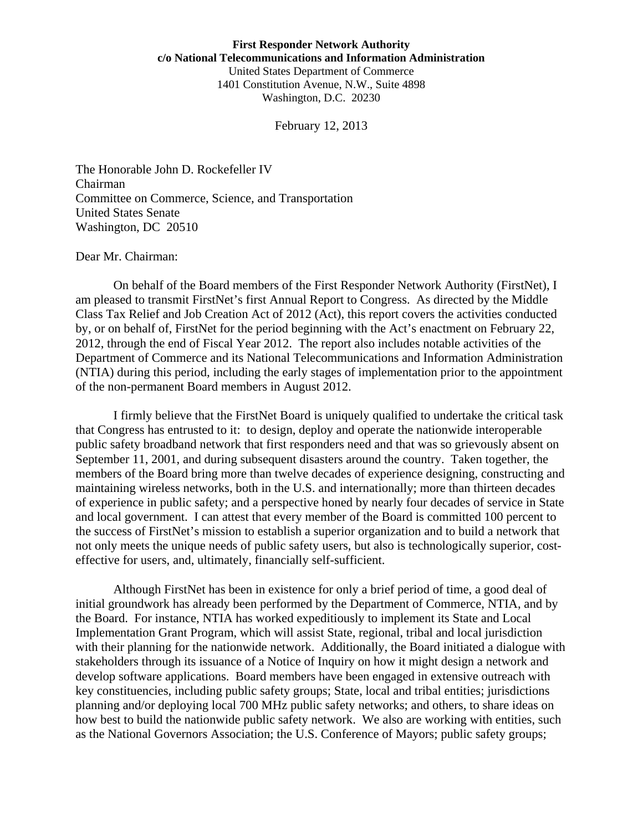February 12, 2013

The Honorable John D. Rockefeller IV Chairman Committee on Commerce, Science, and Transportation United States Senate Washington, DC 20510

#### Dear Mr. Chairman:

 On behalf of the Board members of the First Responder Network Authority (FirstNet), I am pleased to transmit FirstNet's first Annual Report to Congress. As directed by the Middle Class Tax Relief and Job Creation Act of 2012 (Act), this report covers the activities conducted by, or on behalf of, FirstNet for the period beginning with the Act's enactment on February 22, 2012, through the end of Fiscal Year 2012. The report also includes notable activities of the Department of Commerce and its National Telecommunications and Information Administration (NTIA) during this period, including the early stages of implementation prior to the appointment of the non-permanent Board members in August 2012.

 I firmly believe that the FirstNet Board is uniquely qualified to undertake the critical task that Congress has entrusted to it: to design, deploy and operate the nationwide interoperable public safety broadband network that first responders need and that was so grievously absent on September 11, 2001, and during subsequent disasters around the country. Taken together, the members of the Board bring more than twelve decades of experience designing, constructing and maintaining wireless networks, both in the U.S. and internationally; more than thirteen decades of experience in public safety; and a perspective honed by nearly four decades of service in State and local government. I can attest that every member of the Board is committed 100 percent to the success of FirstNet's mission to establish a superior organization and to build a network that not only meets the unique needs of public safety users, but also is technologically superior, costeffective for users, and, ultimately, financially self-sufficient.

 Although FirstNet has been in existence for only a brief period of time, a good deal of initial groundwork has already been performed by the Department of Commerce, NTIA, and by the Board. For instance, NTIA has worked expeditiously to implement its State and Local Implementation Grant Program, which will assist State, regional, tribal and local jurisdiction with their planning for the nationwide network. Additionally, the Board initiated a dialogue with stakeholders through its issuance of a Notice of Inquiry on how it might design a network and develop software applications. Board members have been engaged in extensive outreach with key constituencies, including public safety groups; State, local and tribal entities; jurisdictions planning and/or deploying local 700 MHz public safety networks; and others, to share ideas on how best to build the nationwide public safety network. We also are working with entities, such as the National Governors Association; the U.S. Conference of Mayors; public safety groups;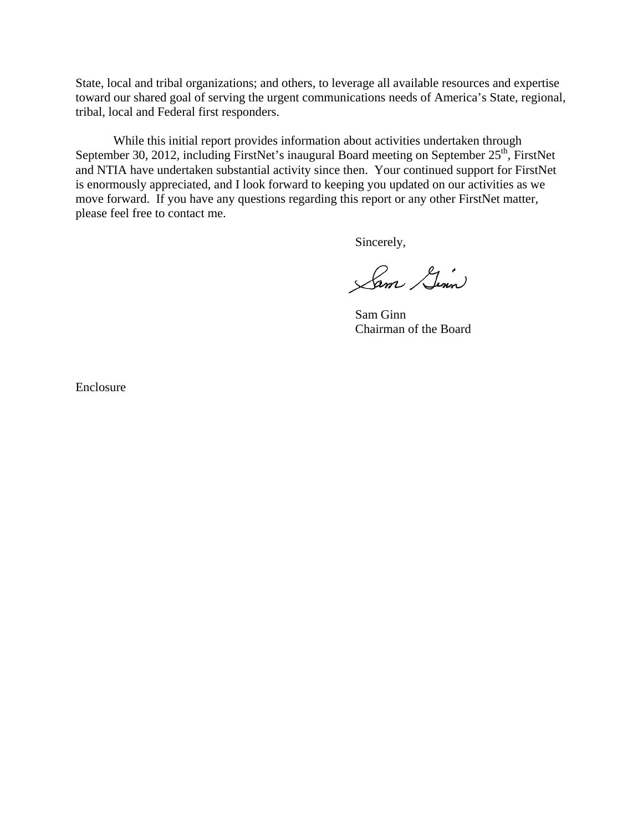State, local and tribal organizations; and others, to leverage all available resources and expertise toward our shared goal of serving the urgent communications needs of America's State, regional, tribal, local and Federal first responders.

 While this initial report provides information about activities undertaken through September 30, 2012, including FirstNet's inaugural Board meeting on September 25<sup>th</sup>, FirstNet and NTIA have undertaken substantial activity since then. Your continued support for FirstNet is enormously appreciated, and I look forward to keeping you updated on our activities as we move forward. If you have any questions regarding this report or any other FirstNet matter, please feel free to contact me.

Sincerely,

Sam Gim

Sam Ginn Chairman of the Board

Enclosure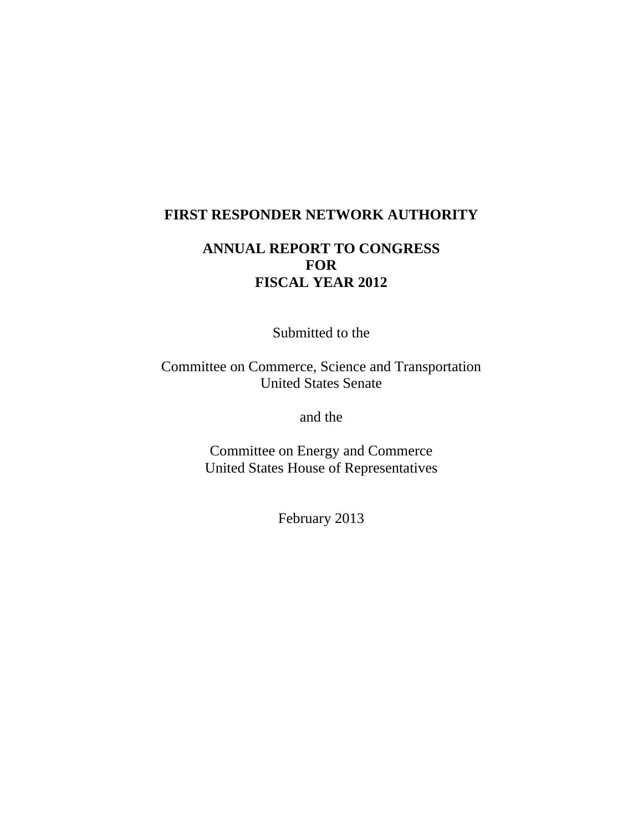### **FIRST RESPONDER NETWORK AUTHORITY**

# **ANNUAL REPORT TO CONGRESS FOR FISCAL YEAR 2012**

Submitted to the

Committee on Commerce, Science and Transportation United States Senate

and the

Committee on Energy and Commerce United States House of Representatives

February 2013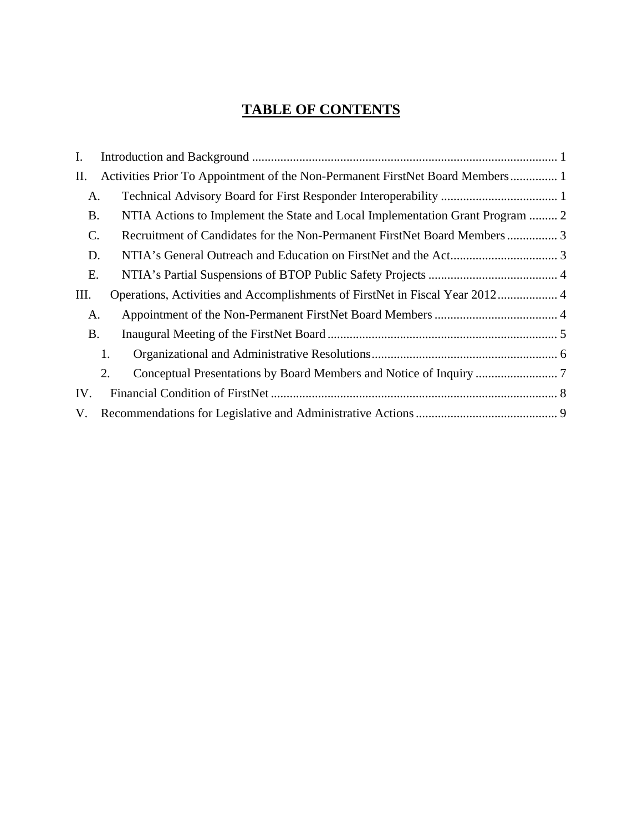# **TABLE OF CONTENTS**

| $I_{\cdot}$ |                                                                               |  |  |
|-------------|-------------------------------------------------------------------------------|--|--|
| П.          | Activities Prior To Appointment of the Non-Permanent FirstNet Board Members 1 |  |  |
| A.          |                                                                               |  |  |
| <b>B.</b>   | NTIA Actions to Implement the State and Local Implementation Grant Program  2 |  |  |
| C.          | Recruitment of Candidates for the Non-Permanent FirstNet Board Members 3      |  |  |
| D.          |                                                                               |  |  |
| Ε.          |                                                                               |  |  |
| Ш.          | Operations, Activities and Accomplishments of FirstNet in Fiscal Year 2012 4  |  |  |
| A.          |                                                                               |  |  |
| <b>B.</b>   |                                                                               |  |  |
|             | 1.                                                                            |  |  |
|             | 2.                                                                            |  |  |
| IV.         |                                                                               |  |  |
| V.          |                                                                               |  |  |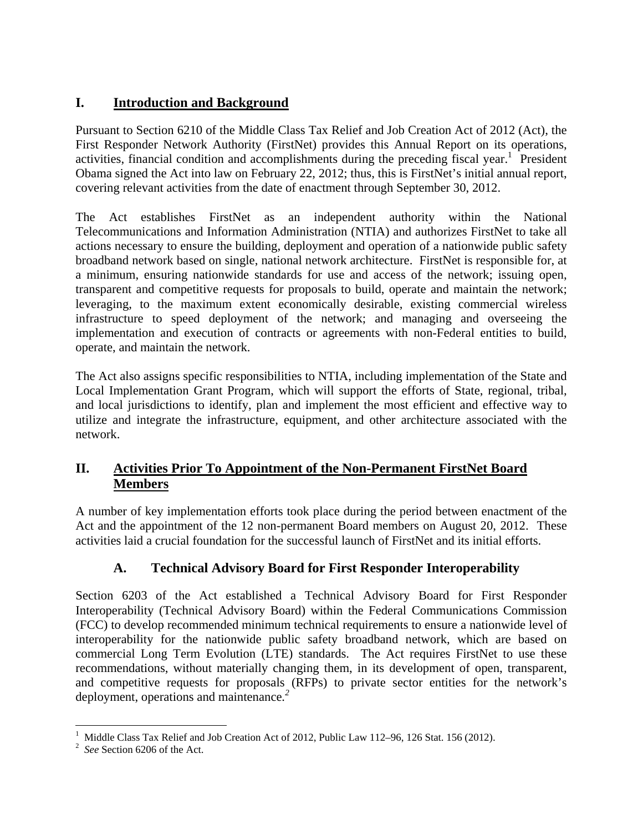### **I. Introduction and Background**

Pursuant to Section 6210 of the Middle Class Tax Relief and Job Creation Act of 2012 (Act), the First Responder Network Authority (FirstNet) provides this Annual Report on its operations, activities, financial condition and accomplishments during the preceding fiscal year.<sup>1</sup> President Obama signed the Act into law on February 22, 2012; thus, this is FirstNet's initial annual report, covering relevant activities from the date of enactment through September 30, 2012.

The Act establishes FirstNet as an independent authority within the National Telecommunications and Information Administration (NTIA) and authorizes FirstNet to take all actions necessary to ensure the building, deployment and operation of a nationwide public safety broadband network based on single, national network architecture. FirstNet is responsible for, at a minimum, ensuring nationwide standards for use and access of the network; issuing open, transparent and competitive requests for proposals to build, operate and maintain the network; leveraging, to the maximum extent economically desirable, existing commercial wireless infrastructure to speed deployment of the network; and managing and overseeing the implementation and execution of contracts or agreements with non-Federal entities to build, operate, and maintain the network.

The Act also assigns specific responsibilities to NTIA, including implementation of the State and Local Implementation Grant Program, which will support the efforts of State, regional, tribal, and local jurisdictions to identify, plan and implement the most efficient and effective way to utilize and integrate the infrastructure, equipment, and other architecture associated with the network.

### **II. Activities Prior To Appointment of the Non-Permanent FirstNet Board Members**

A number of key implementation efforts took place during the period between enactment of the Act and the appointment of the 12 non-permanent Board members on August 20, 2012. These activities laid a crucial foundation for the successful launch of FirstNet and its initial efforts.

### **A. Technical Advisory Board for First Responder Interoperability**

Section 6203 of the Act established a Technical Advisory Board for First Responder Interoperability (Technical Advisory Board) within the Federal Communications Commission (FCC) to develop recommended minimum technical requirements to ensure a nationwide level of interoperability for the nationwide public safety broadband network, which are based on commercial Long Term Evolution (LTE) standards. The Act requires FirstNet to use these recommendations, without materially changing them, in its development of open, transparent, and competitive requests for proposals (RFPs) to private sector entities for the network's deployment, operations and maintenance*. 2*

 $\overline{a}$ <sup>1</sup> Middle Class Tax Relief and Job Creation Act of 2012, Public Law 112–96, 126 Stat. 156 (2012).

<sup>2</sup> *See* Section 6206 of the Act.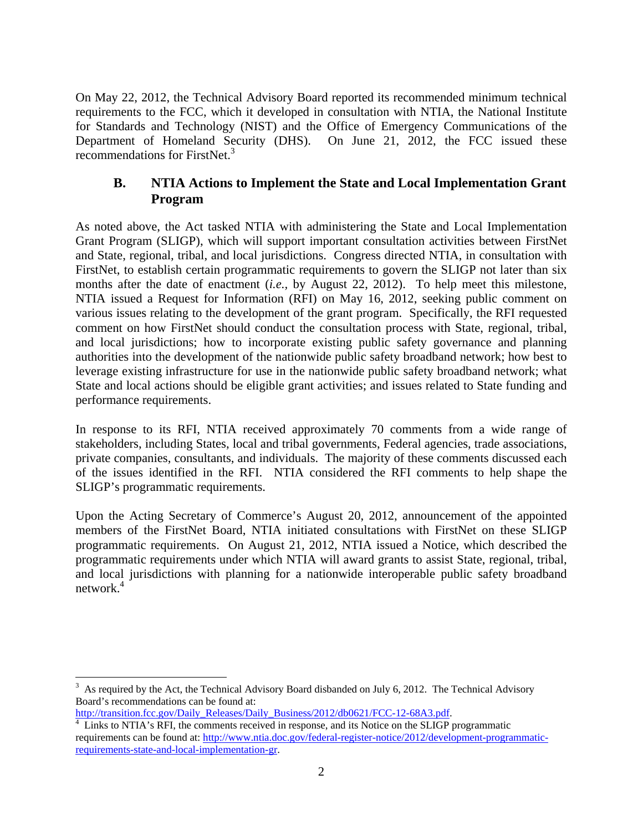On May 22, 2012, the Technical Advisory Board reported its recommended minimum technical requirements to the FCC, which it developed in consultation with NTIA, the National Institute for Standards and Technology (NIST) and the Office of Emergency Communications of the Department of Homeland Security (DHS). On June 21, 2012, the FCC issued these recommendations for FirstNet.<sup>3</sup>

### **B. NTIA Actions to Implement the State and Local Implementation Grant Program**

As noted above, the Act tasked NTIA with administering the State and Local Implementation Grant Program (SLIGP), which will support important consultation activities between FirstNet and State, regional, tribal, and local jurisdictions. Congress directed NTIA, in consultation with FirstNet, to establish certain programmatic requirements to govern the SLIGP not later than six months after the date of enactment (*i.e.,* by August 22, 2012). To help meet this milestone, NTIA issued a Request for Information (RFI) on May 16, 2012, seeking public comment on various issues relating to the development of the grant program. Specifically, the RFI requested comment on how FirstNet should conduct the consultation process with State, regional, tribal, and local jurisdictions; how to incorporate existing public safety governance and planning authorities into the development of the nationwide public safety broadband network; how best to leverage existing infrastructure for use in the nationwide public safety broadband network; what State and local actions should be eligible grant activities; and issues related to State funding and performance requirements.

In response to its RFI, NTIA received approximately 70 comments from a wide range of stakeholders, including States, local and tribal governments, Federal agencies, trade associations, private companies, consultants, and individuals. The majority of these comments discussed each of the issues identified in the RFI. NTIA considered the RFI comments to help shape the SLIGP's programmatic requirements.

Upon the Acting Secretary of Commerce's August 20, 2012, announcement of the appointed members of the FirstNet Board, NTIA initiated consultations with FirstNet on these SLIGP programmatic requirements. On August 21, 2012, NTIA issued a Notice, which described the programmatic requirements under which NTIA will award grants to assist State, regional, tribal, and local jurisdictions with planning for a nationwide interoperable public safety broadband network. $4$ 

http://transition.fcc.gov/Daily\_Releases/Daily\_Business/2012/db0621/FCC-12-68A3.pdf.

 $\overline{a}$  $3$  As required by the Act, the Technical Advisory Board disbanded on July 6, 2012. The Technical Advisory Board's recommendations can be found at:

<sup>&</sup>lt;sup>4</sup> Links to NTIA's RFI, the comments received in response, and its Notice on the SLIGP programmatic requirements can be found at: http://www.ntia.doc.gov/federal-register-notice/2012/development-programmaticrequirements-state-and-local-implementation-gr.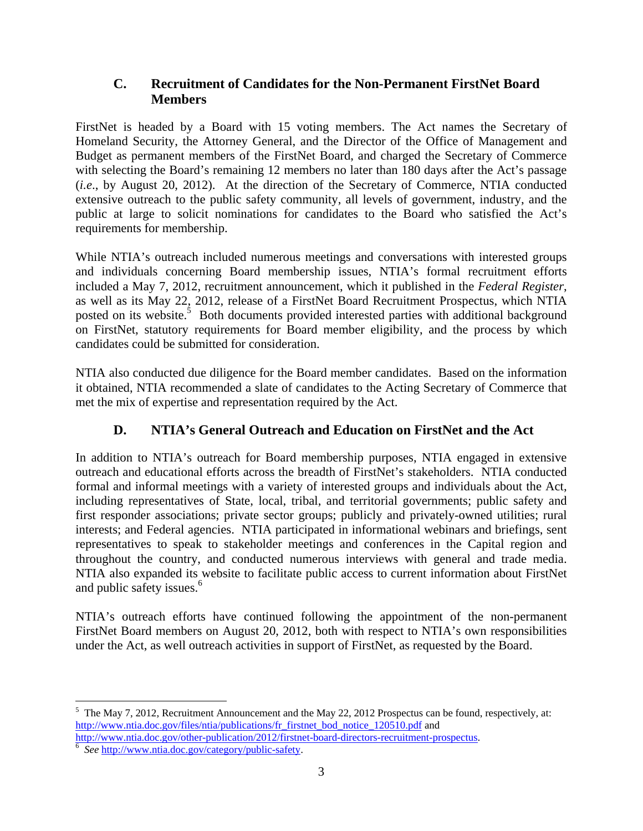### **C. Recruitment of Candidates for the Non-Permanent FirstNet Board Members**

FirstNet is headed by a Board with 15 voting members. The Act names the Secretary of Homeland Security, the Attorney General, and the Director of the Office of Management and Budget as permanent members of the FirstNet Board, and charged the Secretary of Commerce with selecting the Board's remaining 12 members no later than 180 days after the Act's passage (*i.e*., by August 20, 2012). At the direction of the Secretary of Commerce, NTIA conducted extensive outreach to the public safety community, all levels of government, industry, and the public at large to solicit nominations for candidates to the Board who satisfied the Act's requirements for membership.

While NTIA's outreach included numerous meetings and conversations with interested groups and individuals concerning Board membership issues, NTIA's formal recruitment efforts included a May 7, 2012, recruitment announcement, which it published in the *Federal Register*, as well as its May 22, 2012, release of a FirstNet Board Recruitment Prospectus, which NTIA posted on its website.<sup>5</sup> Both documents provided interested parties with additional background on FirstNet, statutory requirements for Board member eligibility, and the process by which candidates could be submitted for consideration.

NTIA also conducted due diligence for the Board member candidates. Based on the information it obtained, NTIA recommended a slate of candidates to the Acting Secretary of Commerce that met the mix of expertise and representation required by the Act.

# **D. NTIA's General Outreach and Education on FirstNet and the Act**

In addition to NTIA's outreach for Board membership purposes, NTIA engaged in extensive outreach and educational efforts across the breadth of FirstNet's stakeholders. NTIA conducted formal and informal meetings with a variety of interested groups and individuals about the Act, including representatives of State, local, tribal, and territorial governments; public safety and first responder associations; private sector groups; publicly and privately-owned utilities; rural interests; and Federal agencies. NTIA participated in informational webinars and briefings, sent representatives to speak to stakeholder meetings and conferences in the Capital region and throughout the country, and conducted numerous interviews with general and trade media. NTIA also expanded its website to facilitate public access to current information about FirstNet and public safety issues.<sup>6</sup>

NTIA's outreach efforts have continued following the appointment of the non-permanent FirstNet Board members on August 20, 2012, both with respect to NTIA's own responsibilities under the Act, as well outreach activities in support of FirstNet, as requested by the Board.

 $\overline{a}$ 

<sup>&</sup>lt;sup>5</sup> The May 7, 2012, Recruitment Announcement and the May 22, 2012 Prospectus can be found, respectively, at: http://www.ntia.doc.gov/files/ntia/publications/fr\_firstnet\_bod\_notice\_120510.pdf and http://www.ntia.doc.gov/other-publication/2012/firstnet-board-directors-recruitment-prospectus.

*See* http://www.ntia.doc.gov/category/public-safety.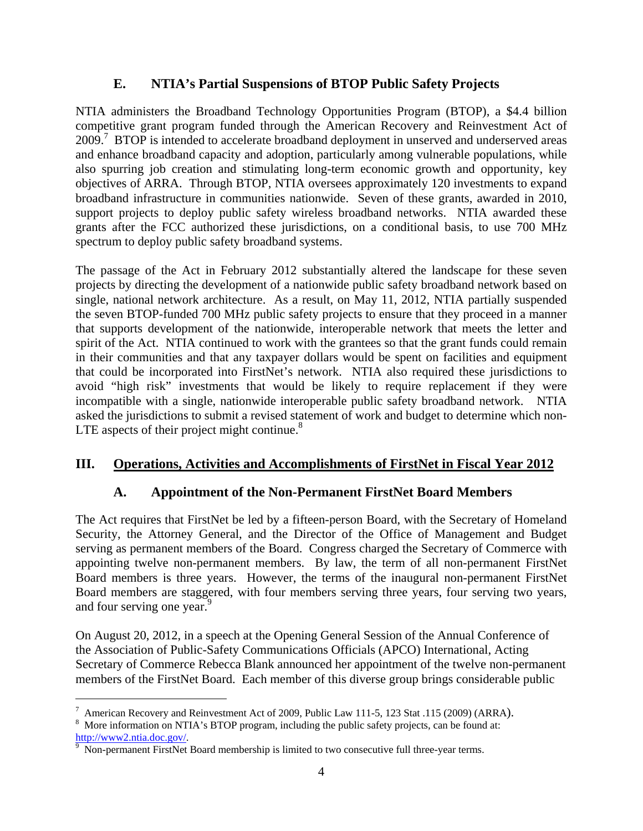### **E. NTIA's Partial Suspensions of BTOP Public Safety Projects**

NTIA administers the Broadband Technology Opportunities Program (BTOP), a \$4.4 billion competitive grant program funded through the American Recovery and Reinvestment Act of 2009.<sup>7</sup> BTOP is intended to accelerate broadband deployment in unserved and underserved areas and enhance broadband capacity and adoption, particularly among vulnerable populations, while also spurring job creation and stimulating long-term economic growth and opportunity, key objectives of ARRA. Through BTOP, NTIA oversees approximately 120 investments to expand broadband infrastructure in communities nationwide. Seven of these grants, awarded in 2010, support projects to deploy public safety wireless broadband networks. NTIA awarded these grants after the FCC authorized these jurisdictions, on a conditional basis, to use 700 MHz spectrum to deploy public safety broadband systems.

The passage of the Act in February 2012 substantially altered the landscape for these seven projects by directing the development of a nationwide public safety broadband network based on single, national network architecture. As a result, on May 11, 2012, NTIA partially suspended the seven BTOP-funded 700 MHz public safety projects to ensure that they proceed in a manner that supports development of the nationwide, interoperable network that meets the letter and spirit of the Act. NTIA continued to work with the grantees so that the grant funds could remain in their communities and that any taxpayer dollars would be spent on facilities and equipment that could be incorporated into FirstNet's network. NTIA also required these jurisdictions to avoid "high risk" investments that would be likely to require replacement if they were incompatible with a single, nationwide interoperable public safety broadband network. NTIA asked the jurisdictions to submit a revised statement of work and budget to determine which non-LTE aspects of their project might continue. $8$ 

### **III. Operations, Activities and Accomplishments of FirstNet in Fiscal Year 2012**

### **A. Appointment of the Non-Permanent FirstNet Board Members**

The Act requires that FirstNet be led by a fifteen-person Board, with the Secretary of Homeland Security, the Attorney General, and the Director of the Office of Management and Budget serving as permanent members of the Board. Congress charged the Secretary of Commerce with appointing twelve non-permanent members. By law, the term of all non-permanent FirstNet Board members is three years. However, the terms of the inaugural non-permanent FirstNet Board members are staggered, with four members serving three years, four serving two years, and four serving one year.<sup>9</sup>

On August 20, 2012, in a speech at the Opening General Session of the Annual Conference of the Association of Public-Safety Communications Officials (APCO) International, Acting Secretary of Commerce Rebecca Blank announced her appointment of the twelve non-permanent members of the FirstNet Board. Each member of this diverse group brings considerable public

 $\overline{a}$ 

American Recovery and Reinvestment Act of 2009, Public Law 111-5, 123 Stat .115 (2009) (ARRA).

<sup>&</sup>lt;sup>8</sup> More information on NTIA's BTOP program, including the public safety projects, can be found at: http://www2.ntia.doc.gov/.

Non-permanent FirstNet Board membership is limited to two consecutive full three-year terms.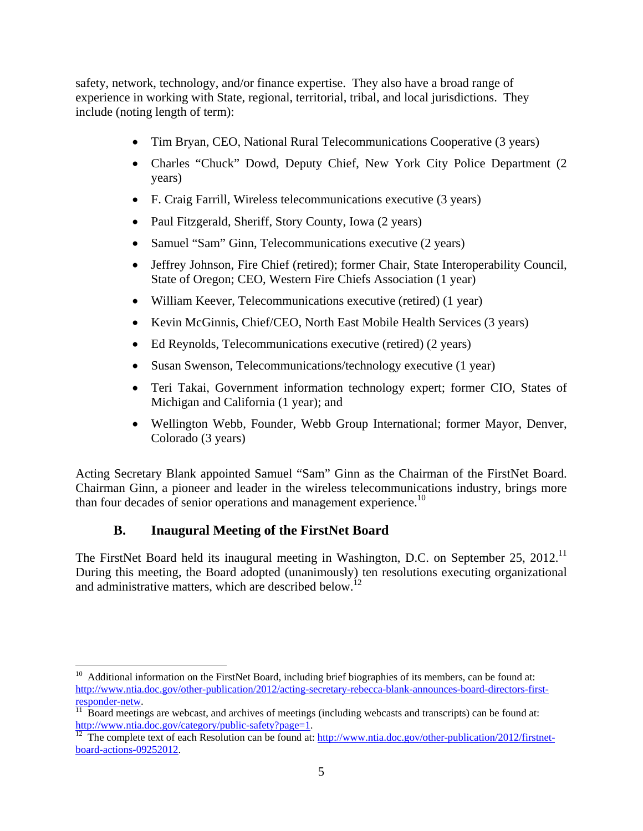safety, network, technology, and/or finance expertise. They also have a broad range of experience in working with State, regional, territorial, tribal, and local jurisdictions. They include (noting length of term):

- Tim Bryan, CEO, National Rural Telecommunications Cooperative (3 years)
- Charles "Chuck" Dowd, Deputy Chief, New York City Police Department (2 years)
- F. Craig Farrill, Wireless telecommunications executive (3 years)
- Paul Fitzgerald, Sheriff, Story County, Iowa (2 years)
- Samuel "Sam" Ginn, Telecommunications executive (2 years)
- Jeffrey Johnson, Fire Chief (retired); former Chair, State Interoperability Council, State of Oregon; CEO, Western Fire Chiefs Association (1 year)
- William Keever, Telecommunications executive (retired) (1 year)
- Kevin McGinnis, Chief/CEO, North East Mobile Health Services (3 years)
- Ed Reynolds, Telecommunications executive (retired) (2 years)
- Susan Swenson, Telecommunications/technology executive (1 year)
- Teri Takai, Government information technology expert; former CIO, States of Michigan and California (1 year); and
- Wellington Webb, Founder, Webb Group International; former Mayor, Denver, Colorado (3 years)

Acting Secretary Blank appointed Samuel "Sam" Ginn as the Chairman of the FirstNet Board. Chairman Ginn, a pioneer and leader in the wireless telecommunications industry, brings more than four decades of senior operations and management experience.<sup>10</sup>

### **B. Inaugural Meeting of the FirstNet Board**

 $\overline{a}$ 

The FirstNet Board held its inaugural meeting in Washington, D.C. on September 25, 2012.<sup>11</sup> During this meeting, the Board adopted (unanimously) ten resolutions executing organizational and administrative matters, which are described below.<sup>12</sup>

 $10$  Additional information on the FirstNet Board, including brief biographies of its members, can be found at: http://www.ntia.doc.gov/other-publication/2012/acting-secretary-rebecca-blank-announces-board-directors-first-

responder-netw.<br><sup>11</sup> Board meetings are webcast, and archives of meetings (including webcasts and transcripts) can be found at:<br>http://www.ntia.doc.gov/category/public-safety?page=1.

 $\frac{12}{12}$  The complete text of each Resolution can be found at: http://www.ntia.doc.gov/other-publication/2012/firstnetboard-actions-09252012.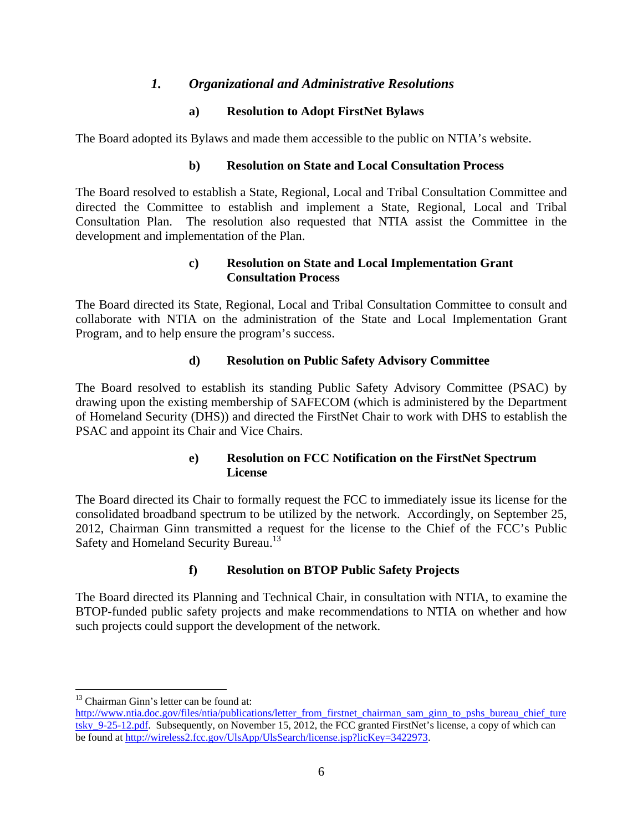#### *1. Organizational and Administrative Resolutions*

#### **a) Resolution to Adopt FirstNet Bylaws**

The Board adopted its Bylaws and made them accessible to the public on NTIA's website.

#### **b) Resolution on State and Local Consultation Process**

The Board resolved to establish a State, Regional, Local and Tribal Consultation Committee and directed the Committee to establish and implement a State, Regional, Local and Tribal Consultation Plan. The resolution also requested that NTIA assist the Committee in the development and implementation of the Plan.

#### **c) Resolution on State and Local Implementation Grant Consultation Process**

The Board directed its State, Regional, Local and Tribal Consultation Committee to consult and collaborate with NTIA on the administration of the State and Local Implementation Grant Program, and to help ensure the program's success.

#### **d) Resolution on Public Safety Advisory Committee**

The Board resolved to establish its standing Public Safety Advisory Committee (PSAC) by drawing upon the existing membership of SAFECOM (which is administered by the Department of Homeland Security (DHS)) and directed the FirstNet Chair to work with DHS to establish the PSAC and appoint its Chair and Vice Chairs.

#### **e) Resolution on FCC Notification on the FirstNet Spectrum License**

The Board directed its Chair to formally request the FCC to immediately issue its license for the consolidated broadband spectrum to be utilized by the network. Accordingly, on September 25, 2012, Chairman Ginn transmitted a request for the license to the Chief of the FCC's Public Safety and Homeland Security Bureau.<sup>13</sup>

#### **f) Resolution on BTOP Public Safety Projects**

The Board directed its Planning and Technical Chair, in consultation with NTIA, to examine the BTOP-funded public safety projects and make recommendations to NTIA on whether and how such projects could support the development of the network.

 $\overline{a}$ 

<sup>&</sup>lt;sup>13</sup> Chairman Ginn's letter can be found at:

http://www.ntia.doc.gov/files/ntia/publications/letter\_from\_firstnet\_chairman\_sam\_ginn\_to\_pshs\_bureau\_chief\_ture tsky 9-25-12.pdf. Subsequently, on November 15, 2012, the FCC granted FirstNet's license, a copy of which can be found at http://wireless2.fcc.gov/UlsApp/UlsSearch/license.jsp?licKey=3422973.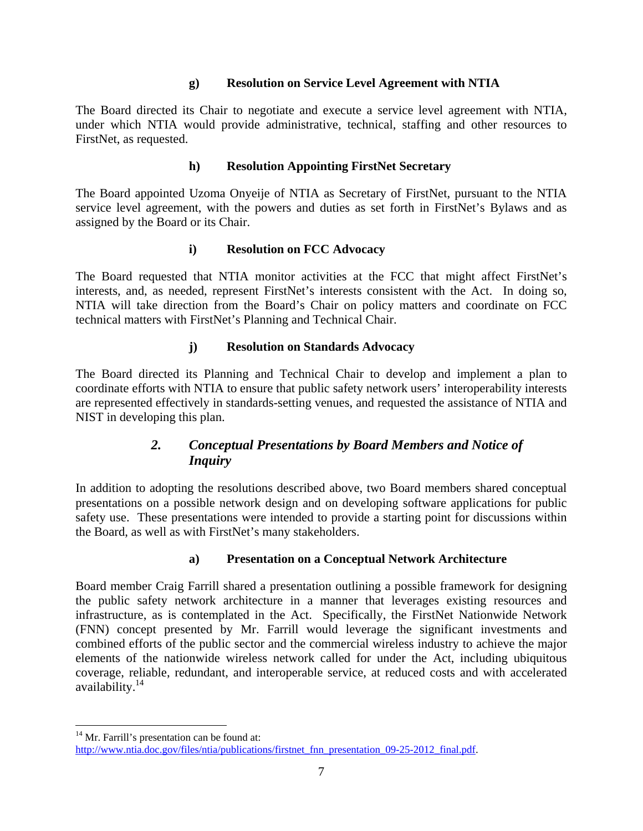#### **g) Resolution on Service Level Agreement with NTIA**

The Board directed its Chair to negotiate and execute a service level agreement with NTIA, under which NTIA would provide administrative, technical, staffing and other resources to FirstNet, as requested.

#### **h) Resolution Appointing FirstNet Secretary**

The Board appointed Uzoma Onyeije of NTIA as Secretary of FirstNet, pursuant to the NTIA service level agreement, with the powers and duties as set forth in FirstNet's Bylaws and as assigned by the Board or its Chair.

#### **i) Resolution on FCC Advocacy**

The Board requested that NTIA monitor activities at the FCC that might affect FirstNet's interests, and, as needed, represent FirstNet's interests consistent with the Act. In doing so, NTIA will take direction from the Board's Chair on policy matters and coordinate on FCC technical matters with FirstNet's Planning and Technical Chair.

#### **j) Resolution on Standards Advocacy**

The Board directed its Planning and Technical Chair to develop and implement a plan to coordinate efforts with NTIA to ensure that public safety network users' interoperability interests are represented effectively in standards-setting venues, and requested the assistance of NTIA and NIST in developing this plan.

### *2. Conceptual Presentations by Board Members and Notice of Inquiry*

In addition to adopting the resolutions described above, two Board members shared conceptual presentations on a possible network design and on developing software applications for public safety use. These presentations were intended to provide a starting point for discussions within the Board, as well as with FirstNet's many stakeholders.

#### **a) Presentation on a Conceptual Network Architecture**

Board member Craig Farrill shared a presentation outlining a possible framework for designing the public safety network architecture in a manner that leverages existing resources and infrastructure, as is contemplated in the Act. Specifically, the FirstNet Nationwide Network (FNN) concept presented by Mr. Farrill would leverage the significant investments and combined efforts of the public sector and the commercial wireless industry to achieve the major elements of the nationwide wireless network called for under the Act, including ubiquitous coverage, reliable, redundant, and interoperable service, at reduced costs and with accelerated availability.<sup>14</sup>

1

<sup>&</sup>lt;sup>14</sup> Mr. Farrill's presentation can be found at:

http://www.ntia.doc.gov/files/ntia/publications/firstnet\_fnn\_presentation\_09-25-2012\_final.pdf.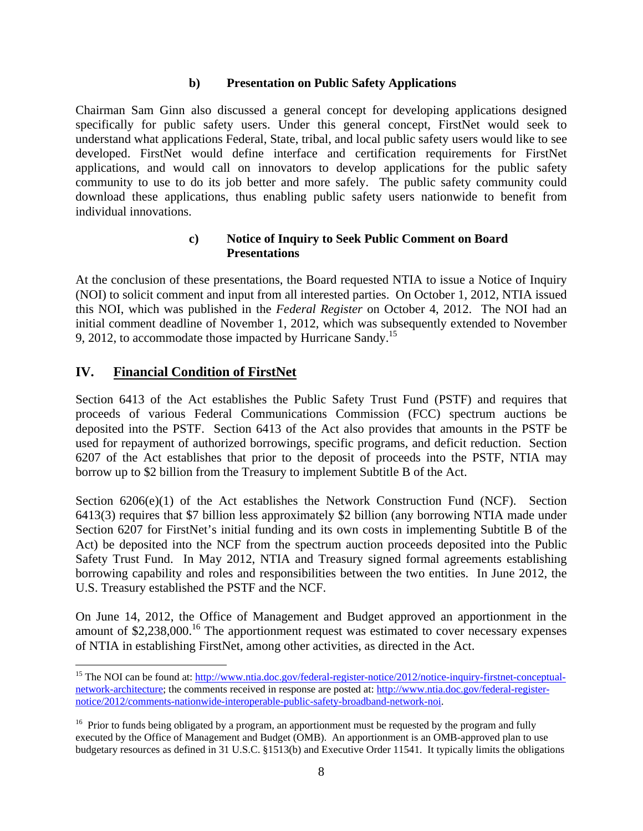#### **b) Presentation on Public Safety Applications**

Chairman Sam Ginn also discussed a general concept for developing applications designed specifically for public safety users. Under this general concept, FirstNet would seek to understand what applications Federal, State, tribal, and local public safety users would like to see developed. FirstNet would define interface and certification requirements for FirstNet applications, and would call on innovators to develop applications for the public safety community to use to do its job better and more safely. The public safety community could download these applications, thus enabling public safety users nationwide to benefit from individual innovations.

#### **c) Notice of Inquiry to Seek Public Comment on Board Presentations**

At the conclusion of these presentations, the Board requested NTIA to issue a Notice of Inquiry (NOI) to solicit comment and input from all interested parties. On October 1, 2012, NTIA issued this NOI, which was published in the *Federal Register* on October 4, 2012. The NOI had an initial comment deadline of November 1, 2012, which was subsequently extended to November 9, 2012, to accommodate those impacted by Hurricane Sandy.<sup>15</sup>

#### **IV. Financial Condition of FirstNet**

 $\overline{a}$ 

Section 6413 of the Act establishes the Public Safety Trust Fund (PSTF) and requires that proceeds of various Federal Communications Commission (FCC) spectrum auctions be deposited into the PSTF. Section 6413 of the Act also provides that amounts in the PSTF be used for repayment of authorized borrowings, specific programs, and deficit reduction. Section 6207 of the Act establishes that prior to the deposit of proceeds into the PSTF, NTIA may borrow up to \$2 billion from the Treasury to implement Subtitle B of the Act.

Section  $6206(e)(1)$  of the Act establishes the Network Construction Fund (NCF). Section 6413(3) requires that \$7 billion less approximately \$2 billion (any borrowing NTIA made under Section 6207 for FirstNet's initial funding and its own costs in implementing Subtitle B of the Act) be deposited into the NCF from the spectrum auction proceeds deposited into the Public Safety Trust Fund. In May 2012, NTIA and Treasury signed formal agreements establishing borrowing capability and roles and responsibilities between the two entities. In June 2012, the U.S. Treasury established the PSTF and the NCF.

On June 14, 2012, the Office of Management and Budget approved an apportionment in the amount of  $$2,238,000$ .<sup>16</sup> The apportionment request was estimated to cover necessary expenses of NTIA in establishing FirstNet, among other activities, as directed in the Act.

<sup>&</sup>lt;sup>15</sup> The NOI can be found at: http://www.ntia.doc.gov/federal-register-notice/2012/notice-inquiry-firstnet-conceptualnetwork-architecture; the comments received in response are posted at: http://www.ntia.doc.gov/federal-registernotice/2012/comments-nationwide-interoperable-public-safety-broadband-network-noi.

<sup>&</sup>lt;sup>16</sup> Prior to funds being obligated by a program, an apportionment must be requested by the program and fully executed by the Office of Management and Budget (OMB). An apportionment is an OMB-approved plan to use budgetary resources as defined in 31 U.S.C. §1513(b) and Executive Order 11541. It typically limits the obligations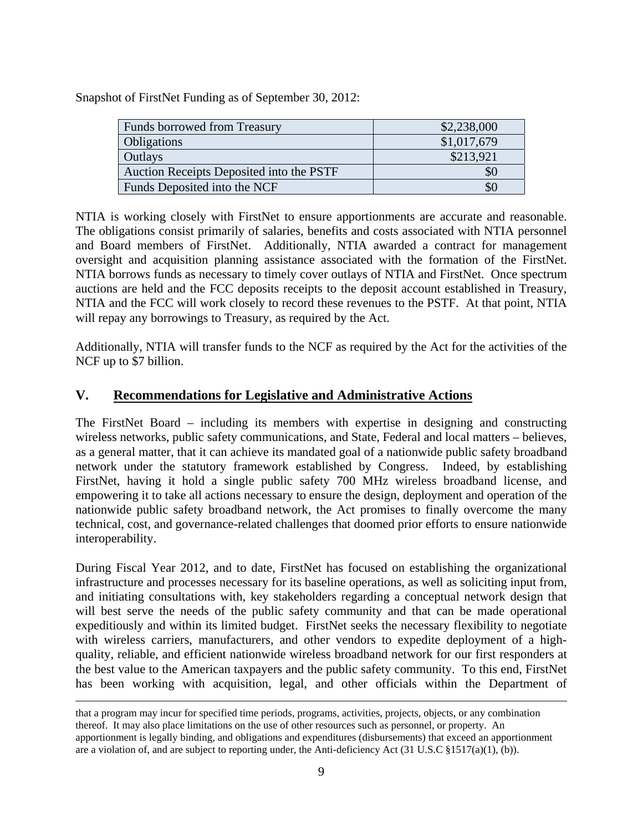Snapshot of FirstNet Funding as of September 30, 2012:

| Funds borrowed from Treasury             | \$2,238,000   |
|------------------------------------------|---------------|
| Obligations                              | \$1,017,679   |
| Outlays                                  | \$213,921     |
| Auction Receipts Deposited into the PSTF | $\mathcal{P}$ |
| Funds Deposited into the NCF             | \$0           |

NTIA is working closely with FirstNet to ensure apportionments are accurate and reasonable. The obligations consist primarily of salaries, benefits and costs associated with NTIA personnel and Board members of FirstNet. Additionally, NTIA awarded a contract for management oversight and acquisition planning assistance associated with the formation of the FirstNet. NTIA borrows funds as necessary to timely cover outlays of NTIA and FirstNet. Once spectrum auctions are held and the FCC deposits receipts to the deposit account established in Treasury, NTIA and the FCC will work closely to record these revenues to the PSTF. At that point, NTIA will repay any borrowings to Treasury, as required by the Act.

Additionally, NTIA will transfer funds to the NCF as required by the Act for the activities of the NCF up to \$7 billion.

#### **V. Recommendations for Legislative and Administrative Actions**

The FirstNet Board – including its members with expertise in designing and constructing wireless networks, public safety communications, and State, Federal and local matters – believes, as a general matter, that it can achieve its mandated goal of a nationwide public safety broadband network under the statutory framework established by Congress. Indeed, by establishing FirstNet, having it hold a single public safety 700 MHz wireless broadband license, and empowering it to take all actions necessary to ensure the design, deployment and operation of the nationwide public safety broadband network, the Act promises to finally overcome the many technical, cost, and governance-related challenges that doomed prior efforts to ensure nationwide interoperability.

During Fiscal Year 2012, and to date, FirstNet has focused on establishing the organizational infrastructure and processes necessary for its baseline operations, as well as soliciting input from, and initiating consultations with, key stakeholders regarding a conceptual network design that will best serve the needs of the public safety community and that can be made operational expeditiously and within its limited budget. FirstNet seeks the necessary flexibility to negotiate with wireless carriers, manufacturers, and other vendors to expedite deployment of a highquality, reliable, and efficient nationwide wireless broadband network for our first responders at the best value to the American taxpayers and the public safety community. To this end, FirstNet has been working with acquisition, legal, and other officials within the Department of

that a program may incur for specified time periods, programs, activities, projects, objects, or any combination thereof. It may also place limitations on the use of other resources such as personnel, or property. An apportionment is legally binding, and obligations and expenditures (disbursements) that exceed an apportionment are a violation of, and are subject to reporting under, the Anti-deficiency Act (31 U.S.C §1517(a)(1), (b)).